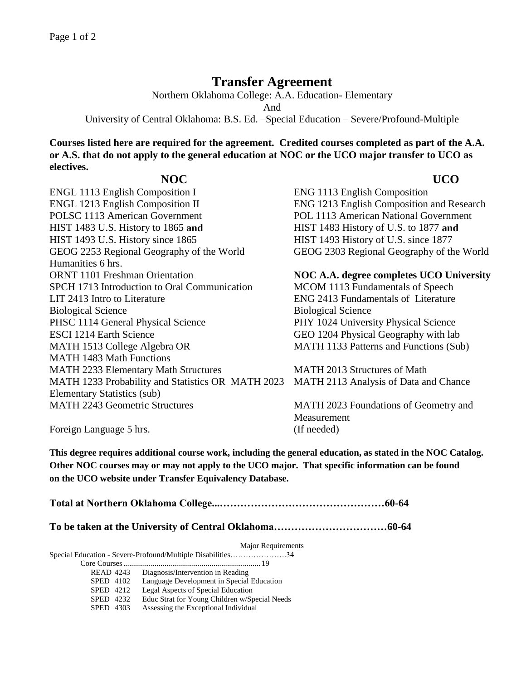## **Transfer Agreement**

Northern Oklahoma College: A.A. Education- Elementary

And

University of Central Oklahoma: B.S. Ed. –Special Education – Severe/Profound-Multiple

**Courses listed here are required for the agreement. Credited courses completed as part of the A.A. or A.S. that do not apply to the general education at NOC or the UCO major transfer to UCO as electives.** 

## **NOC UCO**

ENGL 1113 English Composition I ENG 1113 English Composition ENGL 1213 English Composition II ENG 1213 English Composition and Research POLSC 1113 American Government POL 1113 American National Government HIST 1483 U.S. History to 1865 **and** HIST 1483 History of U.S. to 1877 **and** HIST 1493 U.S. History since 1865 HIST 1493 History of U.S. since 1877 GEOG 2253 Regional Geography of the World GEOG 2303 Regional Geography of the World Humanities 6 hrs. ORNT 1101 Freshman Orientation **NOC A.A. degree completes UCO University** SPCH 1713 Introduction to Oral Communication MCOM 1113 Fundamentals of Speech LIT 2413 Intro to Literature ENG 2413 Fundamentals of Literature Biological Science Biological Science PHSC 1114 General Physical Science PHY 1024 University Physical Science ESCI 1214 Earth Science GEO 1204 Physical Geography with lab MATH 1513 College Algebra OR MATH 1483 Math Functions MATH 2233 Elementary Math Structures MATH 2013 Structures of Math MATH 1233 Probability and Statistics OR MATH 2023 Elementary Statistics (sub) MATH 2243 Geometric Structures MATH 2023 Foundations of Geometry and

MATH 1133 Patterns and Functions (Sub)

MATH 2113 Analysis of Data and Chance

**Measurement** 

Foreign Language 5 hrs. (If needed)

**This degree requires additional course work, including the general education, as stated in the NOC Catalog. Other NOC courses may or may not apply to the UCO major. That specific information can be found on the UCO website under Transfer Equivalency Database.**

**Total at Northern Oklahoma College...…………………………………………60-64**

**To be taken at the University of Central Oklahoma……………………………60-64**

Major Requirements

Special Education - Severe-Profound/Multiple Disabilities………………….34

Core Courses...................................................................... 19

READ 4243 Diagnosis/Intervention in Reading SPED 4102 Language Development in Special Education<br>SPED 4212 Legal Aspects of Special Education Legal Aspects of Special Education SPED 4232 Educ Strat for Young Children w/Special Needs SPED 4303 Assessing the Exceptional Individual